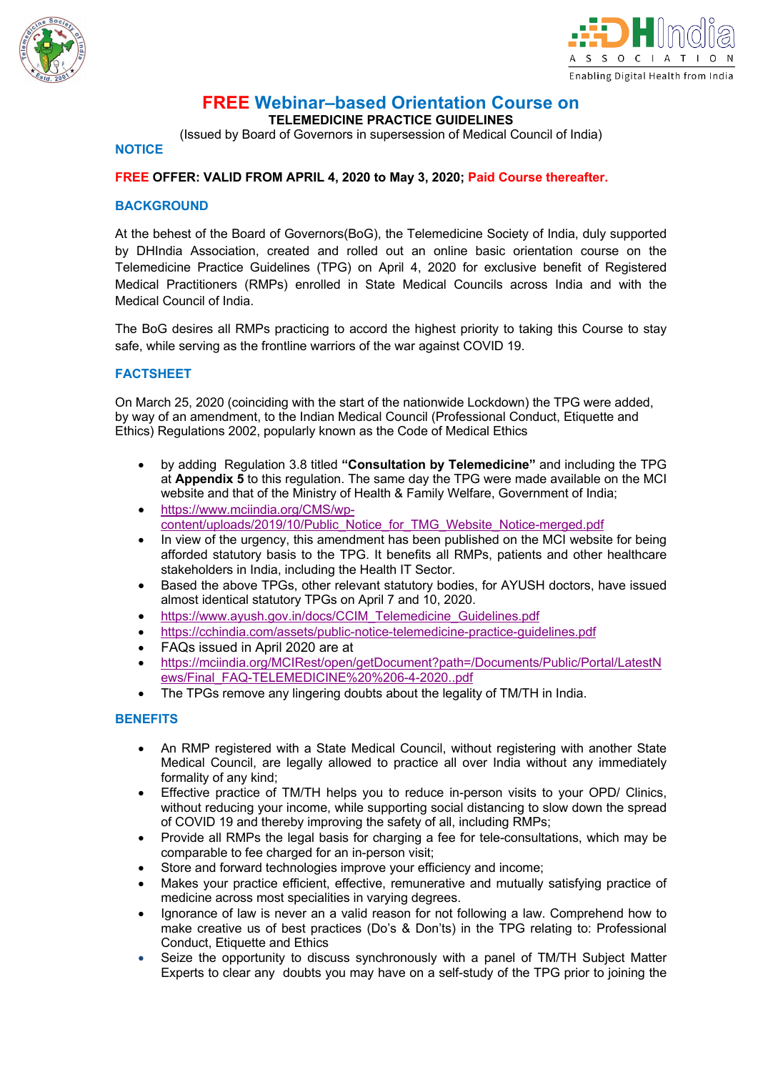



# **FREE Webinar–based Orientation Course on**

**TELEMEDICINE PRACTICE GUIDELINES**

(Issued by Board of Governors in supersession of Medical Council of India)

#### **NOTICE**

#### **FREE OFFER: VALID FROM APRIL 4, 2020 to May 3, 2020; Paid Course thereafter.**

#### **BACKGROUND**

At the behest of the Board of Governors(BoG), the Telemedicine Society of India, duly supported by DHIndia Association, created and rolled out an online basic orientation course on the Telemedicine Practice Guidelines (TPG) on April 4, 2020 for exclusive benefit of Registered Medical Practitioners (RMPs) enrolled in State Medical Councils across India and with the Medical Council of India.

The BoG desires all RMPs practicing to accord the highest priority to taking this Course to stay safe, while serving as the frontline warriors of the war against COVID 19.

#### **FACTSHEET**

On March 25, 2020 (coinciding with the start of the nationwide Lockdown) the TPG were added, by way of an amendment, to the Indian Medical Council (Professional Conduct, Etiquette and Ethics) Regulations 2002, popularly known as the Code of Medical Ethics

- by adding Regulation 3.8 titled **"Consultation by Telemedicine"** and including the TPG at **Appendix 5** to this regulation. The same day the TPG were made available on the MCI website and that of the Ministry of Health & Family Welfare, Government of India;
- https://www.mciindia.org/CMS/wpcontent/uploads/2019/10/Public\_Notice\_for\_TMG\_Website\_Notice-merged.pdf
- In view of the urgency, this amendment has been published on the MCI website for being afforded statutory basis to the TPG. It benefits all RMPs, patients and other healthcare stakeholders in India, including the Health IT Sector.
- Based the above TPGs, other relevant statutory bodies, for AYUSH doctors, have issued almost identical statutory TPGs on April 7 and 10, 2020.
- https://www.ayush.gov.in/docs/CCIM\_Telemedicine\_Guidelines.pdf
- https://cchindia.com/assets/public-notice-telemedicine-practice-guidelines.pdf
- FAQs issued in April 2020 are at
- https://mciindia.org/MCIRest/open/getDocument?path=/Documents/Public/Portal/LatestN ews/Final\_FAQ-TELEMEDICINE%20%206-4-2020..pdf
- The TPGs remove any lingering doubts about the legality of TM/TH in India.

#### **BENEFITS**

- An RMP registered with a State Medical Council, without registering with another State Medical Council, are legally allowed to practice all over India without any immediately formality of any kind;
- Effective practice of TM/TH helps you to reduce in-person visits to your OPD/ Clinics, without reducing your income, while supporting social distancing to slow down the spread of COVID 19 and thereby improving the safety of all, including RMPs;
- Provide all RMPs the legal basis for charging a fee for tele-consultations, which may be comparable to fee charged for an in-person visit;
- Store and forward technologies improve your efficiency and income;
- Makes your practice efficient, effective, remunerative and mutually satisfying practice of medicine across most specialities in varying degrees.
- Ignorance of law is never an a valid reason for not following a law. Comprehend how to make creative us of best practices (Do's & Don'ts) in the TPG relating to: Professional Conduct, Etiquette and Ethics
- Seize the opportunity to discuss synchronously with a panel of TM/TH Subject Matter Experts to clear any doubts you may have on a self-study of the TPG prior to joining the